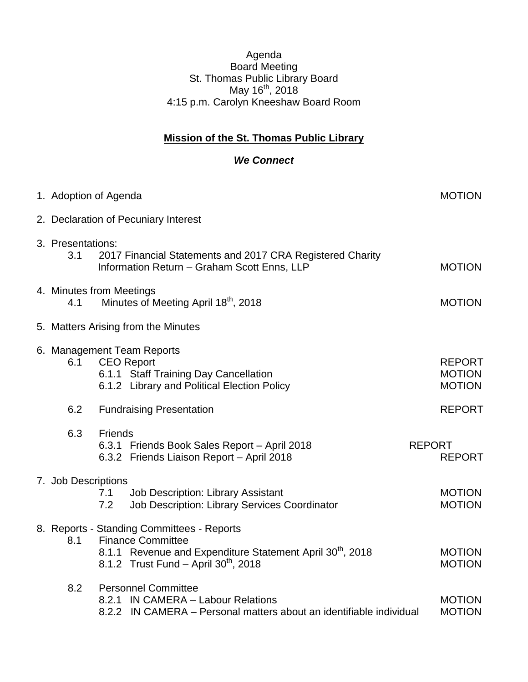## Agenda Board Meeting St. Thomas Public Library Board May 16<sup>th</sup>, 2018 4:15 p.m. Carolyn Kneeshaw Board Room

## **Mission of the St. Thomas Public Library**

## *We Connect*

| 1. Adoption of Agenda                                                               |                                                                                                                           |                                                                                                                                                                                                     |                                                 |  |  |
|-------------------------------------------------------------------------------------|---------------------------------------------------------------------------------------------------------------------------|-----------------------------------------------------------------------------------------------------------------------------------------------------------------------------------------------------|-------------------------------------------------|--|--|
| 2. Declaration of Pecuniary Interest                                                |                                                                                                                           |                                                                                                                                                                                                     |                                                 |  |  |
| 3. Presentations:<br>3.1                                                            | 2017 Financial Statements and 2017 CRA Registered Charity<br>Information Return - Graham Scott Enns, LLP<br><b>MOTION</b> |                                                                                                                                                                                                     |                                                 |  |  |
| 4. Minutes from Meetings<br>Minutes of Meeting April 18 <sup>th</sup> , 2018<br>4.1 |                                                                                                                           |                                                                                                                                                                                                     | <b>MOTION</b>                                   |  |  |
| 5. Matters Arising from the Minutes                                                 |                                                                                                                           |                                                                                                                                                                                                     |                                                 |  |  |
| 6.1                                                                                 |                                                                                                                           | 6. Management Team Reports<br><b>CEO Report</b><br>6.1.1 Staff Training Day Cancellation<br>6.1.2 Library and Political Election Policy                                                             | <b>REPORT</b><br><b>MOTION</b><br><b>MOTION</b> |  |  |
| 6.2                                                                                 |                                                                                                                           | <b>Fundraising Presentation</b>                                                                                                                                                                     | <b>REPORT</b>                                   |  |  |
| 6.3                                                                                 | Friends                                                                                                                   | 6.3.1 Friends Book Sales Report - April 2018<br>6.3.2 Friends Liaison Report - April 2018                                                                                                           | <b>REPORT</b><br><b>REPORT</b>                  |  |  |
| 7. Job Descriptions                                                                 | 7.1<br>7.2                                                                                                                | <b>Job Description: Library Assistant</b><br>Job Description: Library Services Coordinator                                                                                                          | <b>MOTION</b><br><b>MOTION</b>                  |  |  |
| 8.1                                                                                 |                                                                                                                           | 8. Reports - Standing Committees - Reports<br><b>Finance Committee</b><br>8.1.1 Revenue and Expenditure Statement April 30 <sup>th</sup> , 2018<br>8.1.2 Trust Fund - April 30 <sup>th</sup> , 2018 | <b>MOTION</b><br><b>MOTION</b>                  |  |  |
| 8.2                                                                                 |                                                                                                                           | <b>Personnel Committee</b><br>8.2.1 IN CAMERA - Labour Relations<br>8.2.2 IN CAMERA - Personal matters about an identifiable individual                                                             | <b>MOTION</b><br><b>MOTION</b>                  |  |  |